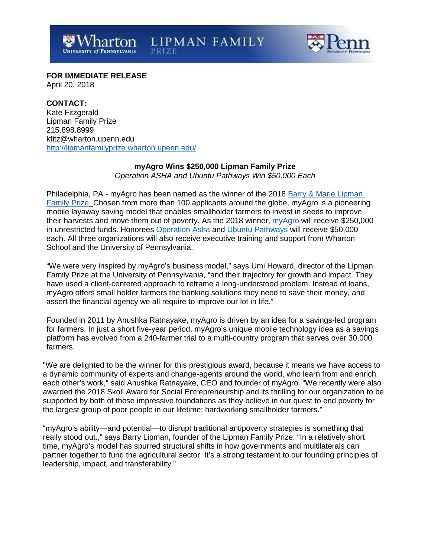**LIPMAN FAMILY** 



**FOR IMMEDIATE RELEASE** April 20, 2018

# **CONTACT:**

Kate Fitzgerald Lipman Family Prize 215.898.8999 [kfitz@wharton.upenn.edu](mailto:kfitz@wharton.upenn.edu) <http://lipmanfamilyprize.wharton.upenn.edu/>

## **myAgro Wins \$250,000 Lipman Family Prize**

*Operation ASHA and Ubuntu Pathways Win \$50,000 Each*

Philadelphia, PA - myAgro has been named as the winner of the 2018 [Barry &](http://lipmanfamilyprize.wharton.upenn.edu/) [Marie Lipman](http://lipmanfamilyprize.wharton.upenn.edu/)  [Family Prize.](http://lipmanfamilyprize.wharton.upenn.edu/) Chosen from more than 100 applicants around the globe, myAgro is a pioneering mobile layaway saving model that enables smallholder farmers to invest in seeds to improve their harvests and move them out of poverty. As the 2018 winner, my Agro will receive \$250,000 in unrestricted funds. Honorees [Operation](https://lipmanfamilyprize.wharton.upenn.edu/operationasha/) Asha and Ubuntu [Pathways](https://lipmanfamilyprize.wharton.upenn.edu/ubuntu/) will receive \$50,000 each. All three organizations will also receive executive training and support from Wharton School and the University of Pennsylvania.

"We were very inspired by myAgro's business model," says Umi Howard, director of the Lipman Family Prize at the University of Pennsylvania, "and their trajectory for growth and impact. They have used a client-centered approach to reframe a long-understood problem. Instead of loans, myAgro offers small holder farmers the banking solutions they need to save their money, and assert the financial agency we all require to improve our lot in life."

Founded in 2011 by Anushka Ratnayake, myAgro is driven by an idea for a savings-led program for farmers. In just a short five-year period, myAgro's unique mobile technology idea as a savings platform has evolved from a 240-farmer trial to a multi-country program that serves over 30,000 farmers.

"We are delighted to be the winner for this prestigious award, because it means we have access to a dynamic community of experts and change-agents around the world, who learn from and enrich each other's work," said Anushka Ratnayake, CEO and founder of myAgro. "We recently were also awarded the 2018 Skoll Award for Social Entrepreneurship and its thrilling for our organization to be supported by both of these impressive foundations as they believe in our quest to end poverty for the largest group of poor people in our lifetime: hardworking smallholder farmers."

"myAgro's ability—and potential—to disrupt traditional antipoverty strategies is something that really stood out.," says Barry Lipman, founder of the Lipman Family Prize. "In a relatively short time, myAgro's model has spurred structural shifts in how governments and multilaterals can partner together to fund the agricultural sector. It's a strong testament to our founding principles of leadership, impact, and transferability."